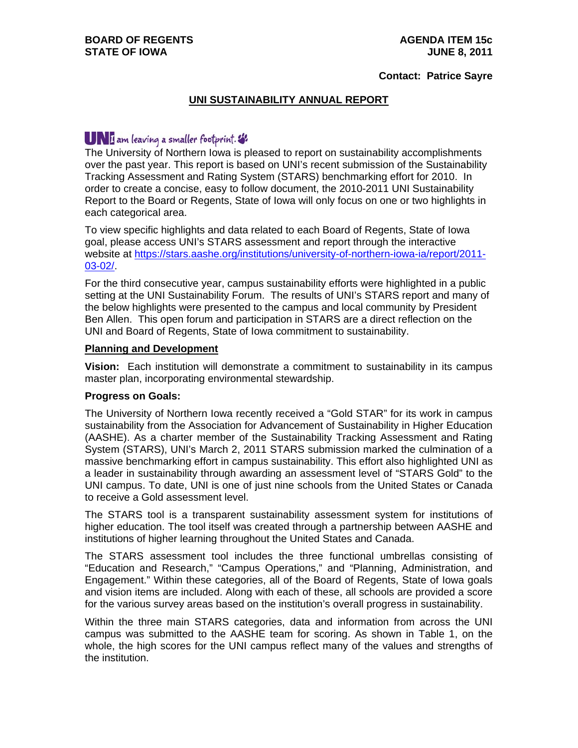#### **Contact: Patrice Sayre**

# **UNI SUSTAINABILITY ANNUAL REPORT**

# I am leaving a smaller footprint.

The University of Northern Iowa is pleased to report on sustainability accomplishments over the past year. This report is based on UNI's recent submission of the Sustainability Tracking Assessment and Rating System (STARS) benchmarking effort for 2010. In order to create a concise, easy to follow document, the 2010-2011 UNI Sustainability Report to the Board or Regents, State of Iowa will only focus on one or two highlights in each categorical area.

To view specific highlights and data related to each Board of Regents, State of Iowa goal, please access UNI's STARS assessment and report through the interactive website at https://stars.aashe.org/institutions/university-of-northern-iowa-ia/report/2011- 03-02/.

For the third consecutive year, campus sustainability efforts were highlighted in a public setting at the UNI Sustainability Forum. The results of UNI's STARS report and many of the below highlights were presented to the campus and local community by President Ben Allen. This open forum and participation in STARS are a direct reflection on the UNI and Board of Regents, State of Iowa commitment to sustainability.

#### **Planning and Development**

**Vision:** Each institution will demonstrate a commitment to sustainability in its campus master plan, incorporating environmental stewardship.

### **Progress on Goals:**

The University of Northern Iowa recently received a "Gold STAR" for its work in campus sustainability from the Association for Advancement of Sustainability in Higher Education (AASHE). As a charter member of the Sustainability Tracking Assessment and Rating System (STARS), UNI's March 2, 2011 STARS submission marked the culmination of a massive benchmarking effort in campus sustainability. This effort also highlighted UNI as a leader in sustainability through awarding an assessment level of "STARS Gold" to the UNI campus. To date, UNI is one of just nine schools from the United States or Canada to receive a Gold assessment level.

The STARS tool is a transparent sustainability assessment system for institutions of higher education. The tool itself was created through a partnership between AASHE and institutions of higher learning throughout the United States and Canada.

The STARS assessment tool includes the three functional umbrellas consisting of "Education and Research," "Campus Operations," and "Planning, Administration, and Engagement." Within these categories, all of the Board of Regents, State of Iowa goals and vision items are included. Along with each of these, all schools are provided a score for the various survey areas based on the institution's overall progress in sustainability.

Within the three main STARS categories, data and information from across the UNI campus was submitted to the AASHE team for scoring. As shown in Table 1, on the whole, the high scores for the UNI campus reflect many of the values and strengths of the institution.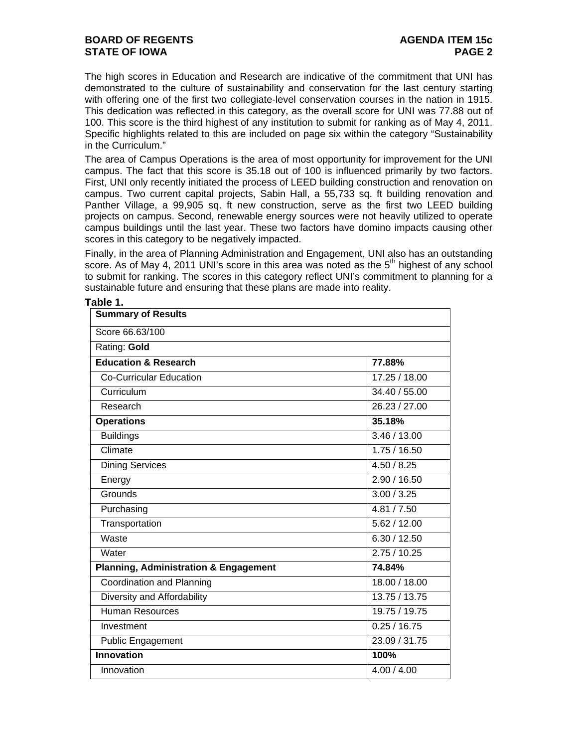# **BOARD OF REGENTS AGENDA ITEM 15c STATE OF IOWA** PAGE 2

The high scores in Education and Research are indicative of the commitment that UNI has demonstrated to the culture of sustainability and conservation for the last century starting with offering one of the first two collegiate-level conservation courses in the nation in 1915. This dedication was reflected in this category, as the overall score for UNI was 77.88 out of 100. This score is the third highest of any institution to submit for ranking as of May 4, 2011. Specific highlights related to this are included on page six within the category "Sustainability in the Curriculum."

The area of Campus Operations is the area of most opportunity for improvement for the UNI campus. The fact that this score is 35.18 out of 100 is influenced primarily by two factors. First, UNI only recently initiated the process of LEED building construction and renovation on campus. Two current capital projects, Sabin Hall, a 55,733 sq. ft building renovation and Panther Village, a 99,905 sq. ft new construction, serve as the first two LEED building projects on campus. Second, renewable energy sources were not heavily utilized to operate campus buildings until the last year. These two factors have domino impacts causing other scores in this category to be negatively impacted.

Finally, in the area of Planning Administration and Engagement, UNI also has an outstanding score. As of May 4, 2011 UNI's score in this area was noted as the  $5<sup>th</sup>$  highest of any school to submit for ranking. The scores in this category reflect UNI's commitment to planning for a sustainable future and ensuring that these plans are made into reality.

| Table 1.                                         |               |
|--------------------------------------------------|---------------|
| <b>Summary of Results</b>                        |               |
| Score 66.63/100                                  |               |
| Rating: Gold                                     |               |
| <b>Education &amp; Research</b>                  | 77.88%        |
| <b>Co-Curricular Education</b>                   | 17.25 / 18.00 |
| Curriculum                                       | 34.40 / 55.00 |
| Research                                         | 26.23 / 27.00 |
| <b>Operations</b>                                | 35.18%        |
| <b>Buildings</b>                                 | 3.46 / 13.00  |
| Climate                                          | 1.75/16.50    |
| <b>Dining Services</b>                           | 4.50 / 8.25   |
| Energy                                           | 2.90 / 16.50  |
| Grounds                                          | 3.00 / 3.25   |
| Purchasing                                       | 4.81 / 7.50   |
| Transportation                                   | 5.62 / 12.00  |
| Waste                                            | 6.30 / 12.50  |
| Water                                            | 2.75/10.25    |
| <b>Planning, Administration &amp; Engagement</b> | 74.84%        |
| Coordination and Planning                        | 18.00 / 18.00 |
| Diversity and Affordability                      | 13.75 / 13.75 |
| <b>Human Resources</b>                           | 19.75 / 19.75 |
| Investment                                       | 0.25 / 16.75  |
| <b>Public Engagement</b>                         | 23.09 / 31.75 |
| <b>Innovation</b>                                | 100%          |
| Innovation                                       | 4.00 / 4.00   |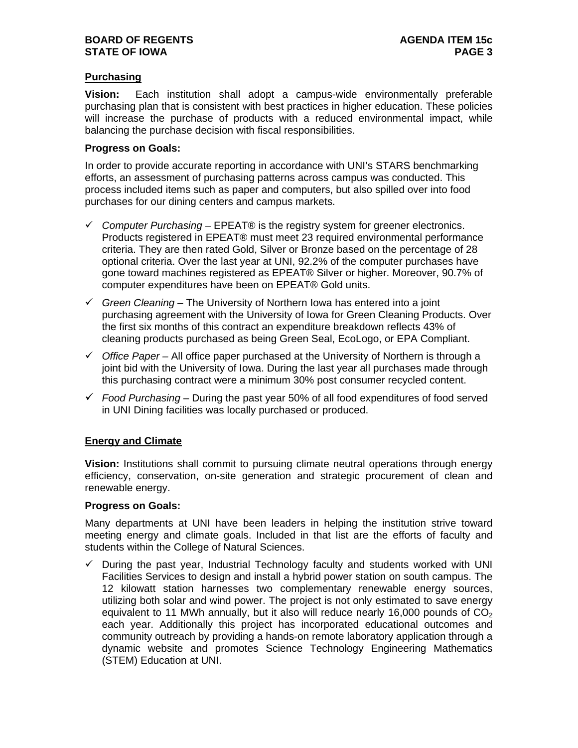# **Purchasing**

**Vision:** Each institution shall adopt a campus-wide environmentally preferable purchasing plan that is consistent with best practices in higher education. These policies will increase the purchase of products with a reduced environmental impact, while balancing the purchase decision with fiscal responsibilities.

### **Progress on Goals:**

In order to provide accurate reporting in accordance with UNI's STARS benchmarking efforts, an assessment of purchasing patterns across campus was conducted. This process included items such as paper and computers, but also spilled over into food purchases for our dining centers and campus markets.

- *Computer Purchasing –* EPEAT® is the registry system for greener electronics. Products registered in EPEAT® must meet 23 required environmental performance criteria. They are then rated Gold, Silver or Bronze based on the percentage of 28 optional criteria. Over the last year at UNI, 92.2% of the computer purchases have gone toward machines registered as EPEAT® Silver or higher. Moreover, 90.7% of computer expenditures have been on EPEAT® Gold units.
- *Green Cleaning –* The University of Northern Iowa has entered into a joint purchasing agreement with the University of Iowa for Green Cleaning Products. Over the first six months of this contract an expenditure breakdown reflects 43% of cleaning products purchased as being Green Seal, EcoLogo, or EPA Compliant.
- *Office Paper –* All office paper purchased at the University of Northern is through a joint bid with the University of Iowa. During the last year all purchases made through this purchasing contract were a minimum 30% post consumer recycled content.
- *Food Purchasing –* During the past year 50% of all food expenditures of food served in UNI Dining facilities was locally purchased or produced.

### **Energy and Climate**

**Vision:** Institutions shall commit to pursuing climate neutral operations through energy efficiency, conservation, on-site generation and strategic procurement of clean and renewable energy.

### **Progress on Goals:**

Many departments at UNI have been leaders in helping the institution strive toward meeting energy and climate goals. Included in that list are the efforts of faculty and students within the College of Natural Sciences.

 $\checkmark$  During the past year, Industrial Technology faculty and students worked with UNI Facilities Services to design and install a hybrid power station on south campus. The 12 kilowatt station harnesses two complementary renewable energy sources, utilizing both solar and wind power. The project is not only estimated to save energy equivalent to 11 MWh annually, but it also will reduce nearly 16,000 pounds of  $CO<sub>2</sub>$ each year. Additionally this project has incorporated educational outcomes and community outreach by providing a hands-on remote laboratory application through a dynamic website and promotes Science Technology Engineering Mathematics (STEM) Education at UNI.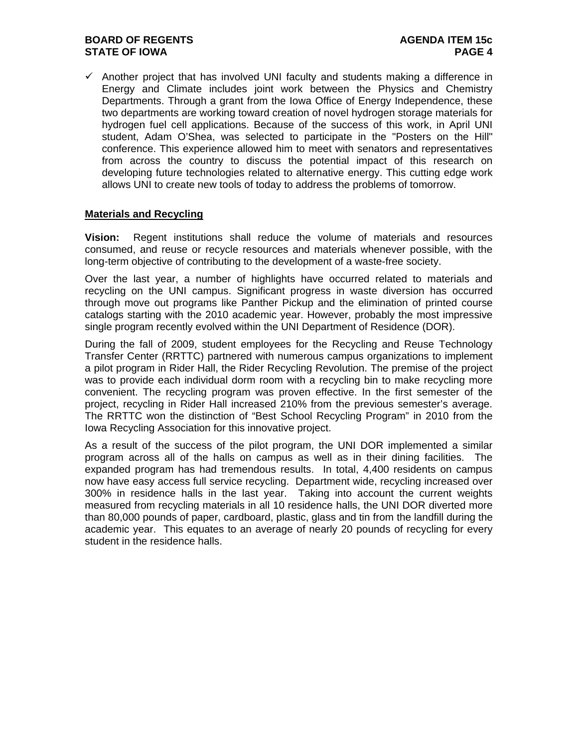# **BOARD OF REGENTS AGENDA ITEM 15c STATE OF IOWA** PAGE 4

 $\checkmark$  Another project that has involved UNI faculty and students making a difference in Energy and Climate includes joint work between the Physics and Chemistry Departments. Through a grant from the Iowa Office of Energy Independence, these two departments are working toward creation of novel hydrogen storage materials for hydrogen fuel cell applications. Because of the success of this work, in April UNI student, Adam O'Shea, was selected to participate in the "Posters on the Hill" conference. This experience allowed him to meet with senators and representatives from across the country to discuss the potential impact of this research on developing future technologies related to alternative energy. This cutting edge work allows UNI to create new tools of today to address the problems of tomorrow.

# **Materials and Recycling**

**Vision:** Regent institutions shall reduce the volume of materials and resources consumed, and reuse or recycle resources and materials whenever possible, with the long-term objective of contributing to the development of a waste-free society.

Over the last year, a number of highlights have occurred related to materials and recycling on the UNI campus. Significant progress in waste diversion has occurred through move out programs like Panther Pickup and the elimination of printed course catalogs starting with the 2010 academic year. However, probably the most impressive single program recently evolved within the UNI Department of Residence (DOR).

During the fall of 2009, student employees for the Recycling and Reuse Technology Transfer Center (RRTTC) partnered with numerous campus organizations to implement a pilot program in Rider Hall, the Rider Recycling Revolution. The premise of the project was to provide each individual dorm room with a recycling bin to make recycling more convenient. The recycling program was proven effective. In the first semester of the project, recycling in Rider Hall increased 210% from the previous semester's average. The RRTTC won the distinction of "Best School Recycling Program" in 2010 from the Iowa Recycling Association for this innovative project.

As a result of the success of the pilot program, the UNI DOR implemented a similar program across all of the halls on campus as well as in their dining facilities. The expanded program has had tremendous results. In total, 4,400 residents on campus now have easy access full service recycling. Department wide, recycling increased over 300% in residence halls in the last year. Taking into account the current weights measured from recycling materials in all 10 residence halls, the UNI DOR diverted more than 80,000 pounds of paper, cardboard, plastic, glass and tin from the landfill during the academic year. This equates to an average of nearly 20 pounds of recycling for every student in the residence halls.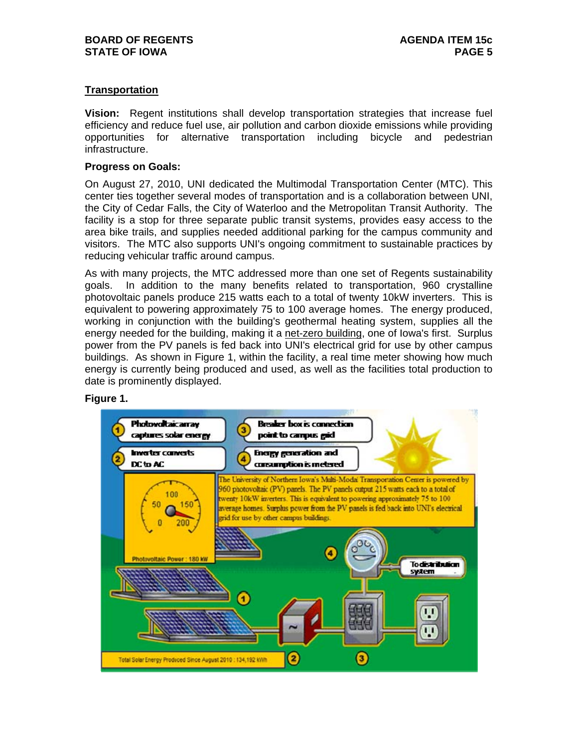# **Transportation**

**Vision:** Regent institutions shall develop transportation strategies that increase fuel efficiency and reduce fuel use, air pollution and carbon dioxide emissions while providing opportunities for alternative transportation including bicycle and pedestrian infrastructure.

### **Progress on Goals:**

On August 27, 2010, UNI dedicated the Multimodal Transportation Center (MTC). This center ties together several modes of transportation and is a collaboration between UNI, the City of Cedar Falls, the City of Waterloo and the Metropolitan Transit Authority. The facility is a stop for three separate public transit systems, provides easy access to the area bike trails, and supplies needed additional parking for the campus community and visitors. The MTC also supports UNI's ongoing commitment to sustainable practices by reducing vehicular traffic around campus.

As with many projects, the MTC addressed more than one set of Regents sustainability goals. In addition to the many benefits related to transportation, 960 crystalline photovoltaic panels produce 215 watts each to a total of twenty 10kW inverters. This is equivalent to powering approximately 75 to 100 average homes. The energy produced, working in conjunction with the building's geothermal heating system, supplies all the energy needed for the building, making it a net-zero building, one of Iowa's first. Surplus power from the PV panels is fed back into UNI's electrical grid for use by other campus buildings. As shown in Figure 1, within the facility, a real time meter showing how much energy is currently being produced and used, as well as the facilities total production to date is prominently displayed.

#### **Figure 1.**

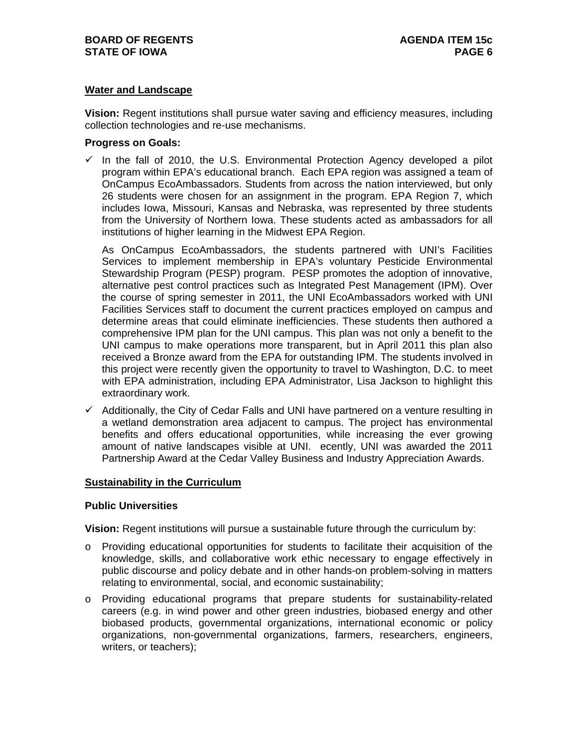# **Water and Landscape**

**Vision:** Regent institutions shall pursue water saving and efficiency measures, including collection technologies and re-use mechanisms.

### **Progress on Goals:**

 $\checkmark$  In the fall of 2010, the U.S. Environmental Protection Agency developed a pilot program within EPA's educational branch. Each EPA region was assigned a team of OnCampus EcoAmbassadors. Students from across the nation interviewed, but only 26 students were chosen for an assignment in the program. EPA Region 7, which includes Iowa, Missouri, Kansas and Nebraska, was represented by three students from the University of Northern Iowa. These students acted as ambassadors for all institutions of higher learning in the Midwest EPA Region.

As OnCampus EcoAmbassadors, the students partnered with UNI's Facilities Services to implement membership in EPA's voluntary Pesticide Environmental Stewardship Program (PESP) program. PESP promotes the adoption of innovative, alternative pest control practices such as Integrated Pest Management (IPM). Over the course of spring semester in 2011, the UNI EcoAmbassadors worked with UNI Facilities Services staff to document the current practices employed on campus and determine areas that could eliminate inefficiencies. These students then authored a comprehensive IPM plan for the UNI campus. This plan was not only a benefit to the UNI campus to make operations more transparent, but in April 2011 this plan also received a Bronze award from the EPA for outstanding IPM. The students involved in this project were recently given the opportunity to travel to Washington, D.C. to meet with EPA administration, including EPA Administrator, Lisa Jackson to highlight this extraordinary work.

 $\checkmark$  Additionally, the City of Cedar Falls and UNI have partnered on a venture resulting in a wetland demonstration area adjacent to campus. The project has environmental benefits and offers educational opportunities, while increasing the ever growing amount of native landscapes visible at UNI. ecently, UNI was awarded the 2011 Partnership Award at the Cedar Valley Business and Industry Appreciation Awards.

### **Sustainability in the Curriculum**

## **Public Universities**

**Vision:** Regent institutions will pursue a sustainable future through the curriculum by:

- o Providing educational opportunities for students to facilitate their acquisition of the knowledge, skills, and collaborative work ethic necessary to engage effectively in public discourse and policy debate and in other hands-on problem-solving in matters relating to environmental, social, and economic sustainability;
- o Providing educational programs that prepare students for sustainability-related careers (e.g. in wind power and other green industries, biobased energy and other biobased products, governmental organizations, international economic or policy organizations, non-governmental organizations, farmers, researchers, engineers, writers, or teachers);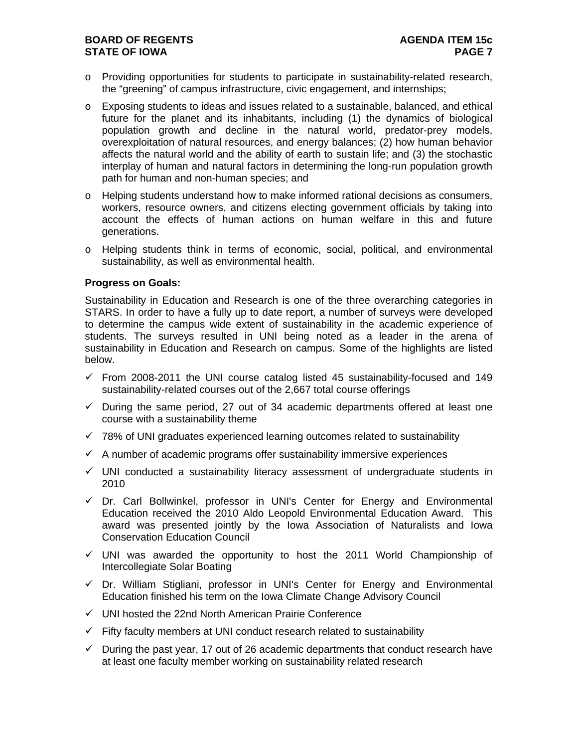# **BOARD OF REGENTS AGENERAL LIGHT AGENDA ITEM 15c STATE OF IOWA** PAGE 7

- o Providing opportunities for students to participate in sustainability-related research, the "greening" of campus infrastructure, civic engagement, and internships;
- o Exposing students to ideas and issues related to a sustainable, balanced, and ethical future for the planet and its inhabitants, including (1) the dynamics of biological population growth and decline in the natural world, predator-prey models, overexploitation of natural resources, and energy balances; (2) how human behavior affects the natural world and the ability of earth to sustain life; and (3) the stochastic interplay of human and natural factors in determining the long-run population growth path for human and non-human species; and
- $\circ$  Helping students understand how to make informed rational decisions as consumers, workers, resource owners, and citizens electing government officials by taking into account the effects of human actions on human welfare in this and future generations.
- o Helping students think in terms of economic, social, political, and environmental sustainability, as well as environmental health.

### **Progress on Goals:**

Sustainability in Education and Research is one of the three overarching categories in STARS. In order to have a fully up to date report, a number of surveys were developed to determine the campus wide extent of sustainability in the academic experience of students. The surveys resulted in UNI being noted as a leader in the arena of sustainability in Education and Research on campus. Some of the highlights are listed below.

- $\checkmark$  From 2008-2011 the UNI course catalog listed 45 sustainability-focused and 149 sustainability-related courses out of the 2,667 total course offerings
- $\checkmark$  During the same period, 27 out of 34 academic departments offered at least one course with a sustainability theme
- $\checkmark$  78% of UNI graduates experienced learning outcomes related to sustainability
- $\checkmark$  A number of academic programs offer sustainability immersive experiences
- $\checkmark$  UNI conducted a sustainability literacy assessment of undergraduate students in 2010
- $\checkmark$  Dr. Carl Bollwinkel, professor in UNI's Center for Energy and Environmental Education received the 2010 Aldo Leopold Environmental Education Award. This award was presented jointly by the Iowa Association of Naturalists and Iowa Conservation Education Council
- $\checkmark$  UNI was awarded the opportunity to host the 2011 World Championship of Intercollegiate Solar Boating
- $\checkmark$  Dr. William Stigliani, professor in UNI's Center for Energy and Environmental Education finished his term on the Iowa Climate Change Advisory Council
- $\checkmark$  UNI hosted the 22nd North American Prairie Conference
- $\checkmark$  Fifty faculty members at UNI conduct research related to sustainability
- $\checkmark$  During the past year, 17 out of 26 academic departments that conduct research have at least one faculty member working on sustainability related research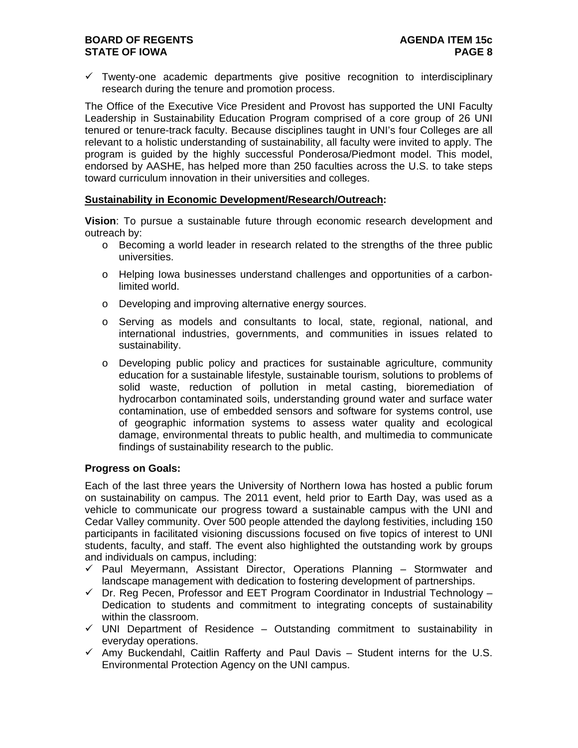# **BOARD OF REGENTS AGENERAL LIGHT AGENDA ITEM 15c STATE OF IOWA** PAGE 8

 $\checkmark$  Twenty-one academic departments give positive recognition to interdisciplinary research during the tenure and promotion process.

The Office of the Executive Vice President and Provost has supported the UNI Faculty Leadership in Sustainability Education Program comprised of a core group of 26 UNI tenured or tenure-track faculty. Because disciplines taught in UNI's four Colleges are all relevant to a holistic understanding of sustainability, all faculty were invited to apply. The program is guided by the highly successful Ponderosa/Piedmont model. This model, endorsed by AASHE, has helped more than 250 faculties across the U.S. to take steps toward curriculum innovation in their universities and colleges.

# **Sustainability in Economic Development/Research/Outreach:**

**Vision**: To pursue a sustainable future through economic research development and outreach by:

- o Becoming a world leader in research related to the strengths of the three public universities.
- o Helping Iowa businesses understand challenges and opportunities of a carbonlimited world.
- o Developing and improving alternative energy sources.
- o Serving as models and consultants to local, state, regional, national, and international industries, governments, and communities in issues related to sustainability.
- o Developing public policy and practices for sustainable agriculture, community education for a sustainable lifestyle, sustainable tourism, solutions to problems of solid waste, reduction of pollution in metal casting, bioremediation of hydrocarbon contaminated soils, understanding ground water and surface water contamination, use of embedded sensors and software for systems control, use of geographic information systems to assess water quality and ecological damage, environmental threats to public health, and multimedia to communicate findings of sustainability research to the public.

### **Progress on Goals:**

Each of the last three years the University of Northern Iowa has hosted a public forum on sustainability on campus. The 2011 event, held prior to Earth Day, was used as a vehicle to communicate our progress toward a sustainable campus with the UNI and Cedar Valley community. Over 500 people attended the daylong festivities, including 150 participants in facilitated visioning discussions focused on five topics of interest to UNI students, faculty, and staff. The event also highlighted the outstanding work by groups and individuals on campus, including:

- $\checkmark$  Paul Meyermann, Assistant Director, Operations Planning Stormwater and landscape management with dedication to fostering development of partnerships.
- $\checkmark$  Dr. Reg Pecen, Professor and EET Program Coordinator in Industrial Technology Dedication to students and commitment to integrating concepts of sustainability within the classroom.
- $\checkmark$  UNI Department of Residence Outstanding commitment to sustainability in everyday operations.
- $\checkmark$  Amy Buckendahl, Caitlin Rafferty and Paul Davis Student interns for the U.S. Environmental Protection Agency on the UNI campus.